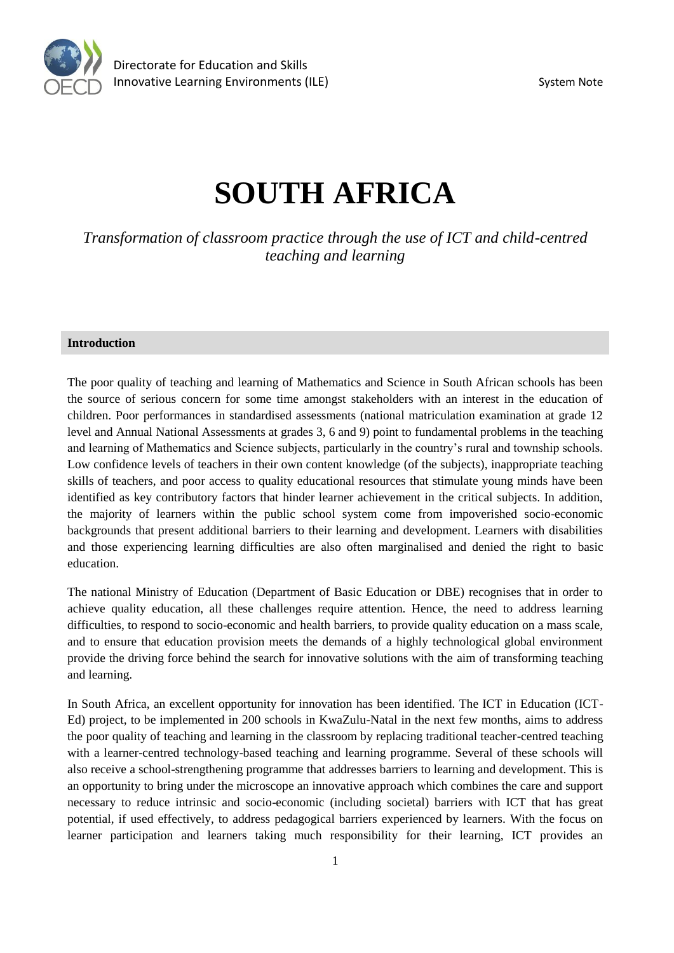

# **SOUTH AFRICA**

*Transformation of classroom practice through the use of ICT and child-centred teaching and learning*

#### **Introduction**

The poor quality of teaching and learning of Mathematics and Science in South African schools has been the source of serious concern for some time amongst stakeholders with an interest in the education of children. Poor performances in standardised assessments (national matriculation examination at grade 12 level and Annual National Assessments at grades 3, 6 and 9) point to fundamental problems in the teaching and learning of Mathematics and Science subjects, particularly in the country's rural and township schools. Low confidence levels of teachers in their own content knowledge (of the subjects), inappropriate teaching skills of teachers, and poor access to quality educational resources that stimulate young minds have been identified as key contributory factors that hinder learner achievement in the critical subjects. In addition, the majority of learners within the public school system come from impoverished socio-economic backgrounds that present additional barriers to their learning and development. Learners with disabilities and those experiencing learning difficulties are also often marginalised and denied the right to basic education.

The national Ministry of Education (Department of Basic Education or DBE) recognises that in order to achieve quality education, all these challenges require attention. Hence, the need to address learning difficulties, to respond to socio-economic and health barriers, to provide quality education on a mass scale, and to ensure that education provision meets the demands of a highly technological global environment provide the driving force behind the search for innovative solutions with the aim of transforming teaching and learning.

In South Africa, an excellent opportunity for innovation has been identified. The ICT in Education (ICT-Ed) project, to be implemented in 200 schools in KwaZulu-Natal in the next few months, aims to address the poor quality of teaching and learning in the classroom by replacing traditional teacher-centred teaching with a learner-centred technology-based teaching and learning programme. Several of these schools will also receive a school-strengthening programme that addresses barriers to learning and development. This is an opportunity to bring under the microscope an innovative approach which combines the care and support necessary to reduce intrinsic and socio-economic (including societal) barriers with ICT that has great potential, if used effectively, to address pedagogical barriers experienced by learners. With the focus on learner participation and learners taking much responsibility for their learning, ICT provides an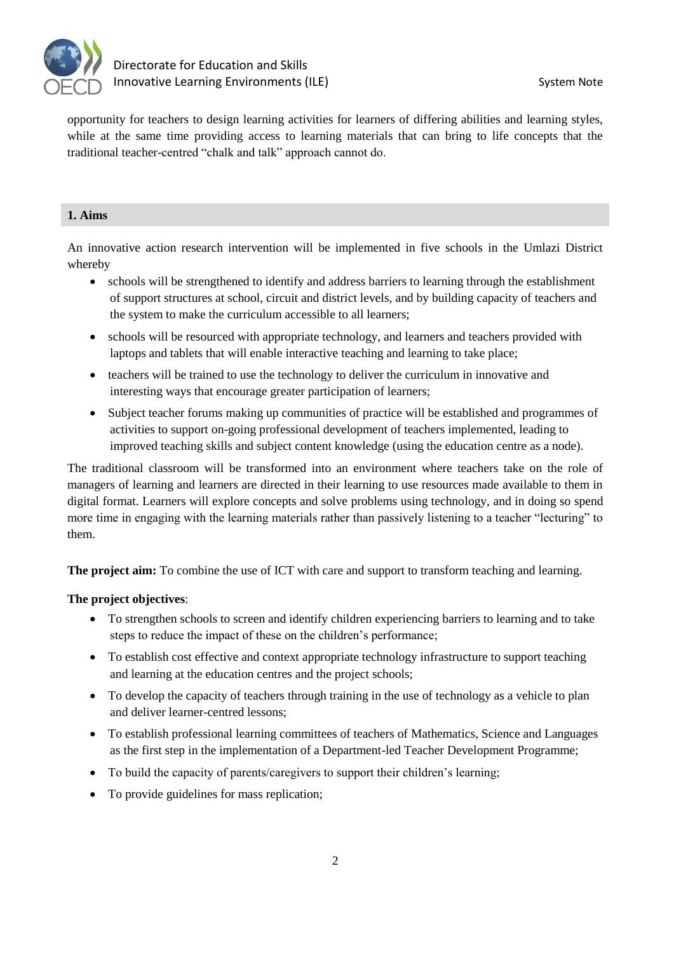

opportunity for teachers to design learning activities for learners of differing abilities and learning styles, while at the same time providing access to learning materials that can bring to life concepts that the traditional teacher-centred "chalk and talk" approach cannot do.

## **1. Aims**

An innovative action research intervention will be implemented in five schools in the Umlazi District whereby

- schools will be strengthened to identify and address barriers to learning through the establishment of support structures at school, circuit and district levels, and by building capacity of teachers and the system to make the curriculum accessible to all learners;
- schools will be resourced with appropriate technology, and learners and teachers provided with laptops and tablets that will enable interactive teaching and learning to take place;
- teachers will be trained to use the technology to deliver the curriculum in innovative and interesting ways that encourage greater participation of learners;
- Subject teacher forums making up communities of practice will be established and programmes of activities to support on-going professional development of teachers implemented, leading to improved teaching skills and subject content knowledge (using the education centre as a node).

The traditional classroom will be transformed into an environment where teachers take on the role of managers of learning and learners are directed in their learning to use resources made available to them in digital format. Learners will explore concepts and solve problems using technology, and in doing so spend more time in engaging with the learning materials rather than passively listening to a teacher "lecturing" to them.

**The project aim:** To combine the use of ICT with care and support to transform teaching and learning.

## **The project objectives**:

- To strengthen schools to screen and identify children experiencing barriers to learning and to take steps to reduce the impact of these on the children's performance;
- To establish cost effective and context appropriate technology infrastructure to support teaching and learning at the education centres and the project schools;
- To develop the capacity of teachers through training in the use of technology as a vehicle to plan and deliver learner-centred lessons;
- To establish professional learning committees of teachers of Mathematics, Science and Languages as the first step in the implementation of a Department-led Teacher Development Programme;
- To build the capacity of parents/caregivers to support their children's learning;
- To provide guidelines for mass replication;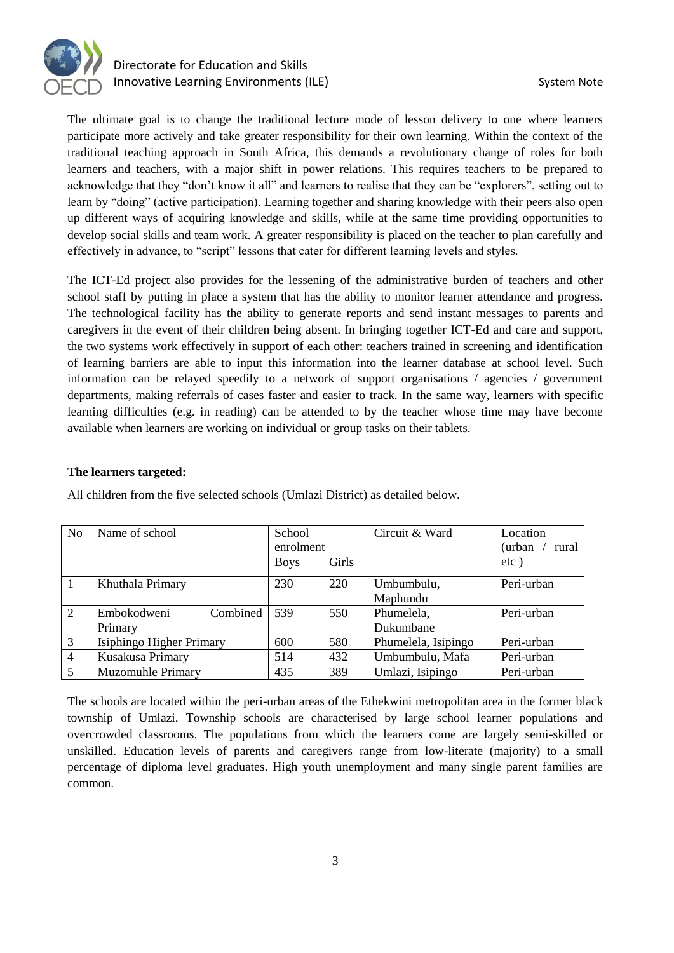

## Directorate for Education and Skills Innovative Learning Environments (ILE) System Note

The ultimate goal is to change the traditional lecture mode of lesson delivery to one where learners participate more actively and take greater responsibility for their own learning. Within the context of the traditional teaching approach in South Africa, this demands a revolutionary change of roles for both learners and teachers, with a major shift in power relations. This requires teachers to be prepared to acknowledge that they "don't know it all" and learners to realise that they can be "explorers", setting out to learn by "doing" (active participation). Learning together and sharing knowledge with their peers also open up different ways of acquiring knowledge and skills, while at the same time providing opportunities to develop social skills and team work. A greater responsibility is placed on the teacher to plan carefully and effectively in advance, to "script" lessons that cater for different learning levels and styles.

The ICT-Ed project also provides for the lessening of the administrative burden of teachers and other school staff by putting in place a system that has the ability to monitor learner attendance and progress. The technological facility has the ability to generate reports and send instant messages to parents and caregivers in the event of their children being absent. In bringing together ICT-Ed and care and support, the two systems work effectively in support of each other: teachers trained in screening and identification of learning barriers are able to input this information into the learner database at school level. Such information can be relayed speedily to a network of support organisations / agencies / government departments, making referrals of cases faster and easier to track. In the same way, learners with specific learning difficulties (e.g. in reading) can be attended to by the teacher whose time may have become available when learners are working on individual or group tasks on their tablets.

### **The learners targeted:**

| N <sub>o</sub> | Name of school           | School<br>enrolment |       | Circuit & Ward      | Location<br>(urban<br>rural |
|----------------|--------------------------|---------------------|-------|---------------------|-----------------------------|
|                |                          | <b>Boys</b>         | Girls |                     | $etc$ )                     |
| $\overline{1}$ | Khuthala Primary         | 230                 | 220   | Umbumbulu,          | Peri-urban                  |
|                |                          |                     |       | Maphundu            |                             |
| 2              | Embokodweni<br>Combined  | 539                 | 550   | Phumelela,          | Peri-urban                  |
|                | Primary                  |                     |       | Dukumbane           |                             |
| 3              | Isiphingo Higher Primary | 600                 | 580   | Phumelela, Isipingo | Peri-urban                  |
| $\overline{4}$ | Kusakusa Primary         | 514                 | 432   | Umbumbulu, Mafa     | Peri-urban                  |
| 5              | <b>Muzomuhle Primary</b> | 435                 | 389   | Umlazi, Isipingo    | Peri-urban                  |

All children from the five selected schools (Umlazi District) as detailed below.

The schools are located within the peri-urban areas of the Ethekwini metropolitan area in the former black township of Umlazi. Township schools are characterised by large school learner populations and overcrowded classrooms. The populations from which the learners come are largely semi-skilled or unskilled. Education levels of parents and caregivers range from low-literate (majority) to a small percentage of diploma level graduates. High youth unemployment and many single parent families are common.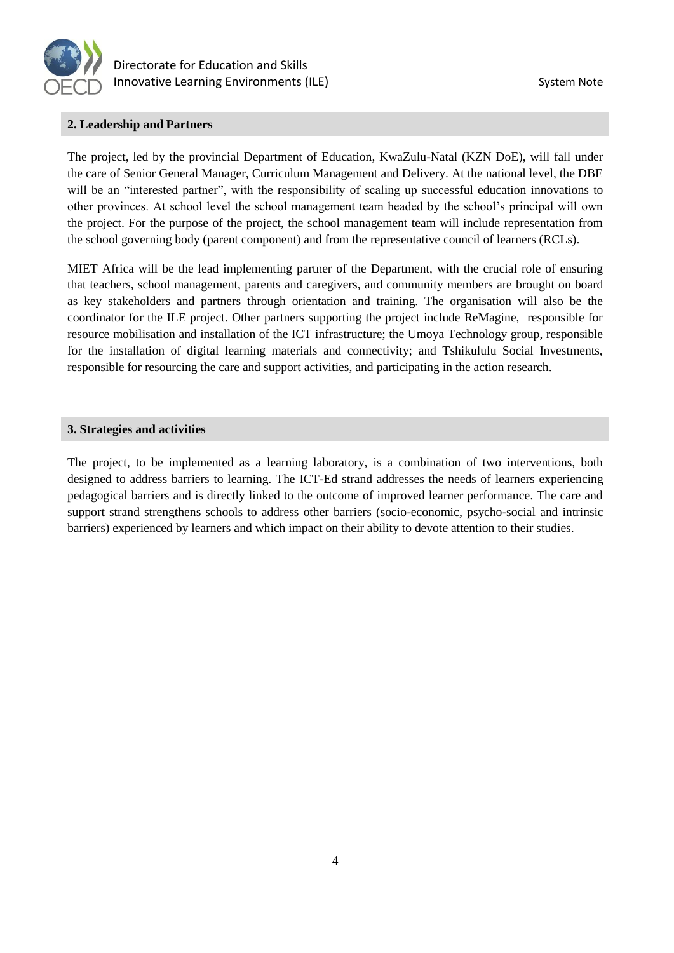

### **2. Leadership and Partners**

The project, led by the provincial Department of Education, KwaZulu-Natal (KZN DoE), will fall under the care of Senior General Manager, Curriculum Management and Delivery. At the national level, the DBE will be an "interested partner", with the responsibility of scaling up successful education innovations to other provinces. At school level the school management team headed by the school's principal will own the project. For the purpose of the project, the school management team will include representation from the school governing body (parent component) and from the representative council of learners (RCLs).

MIET Africa will be the lead implementing partner of the Department, with the crucial role of ensuring that teachers, school management, parents and caregivers, and community members are brought on board as key stakeholders and partners through orientation and training. The organisation will also be the coordinator for the ILE project. Other partners supporting the project include ReMagine, responsible for resource mobilisation and installation of the ICT infrastructure; the Umoya Technology group, responsible for the installation of digital learning materials and connectivity; and Tshikululu Social Investments, responsible for resourcing the care and support activities, and participating in the action research.

#### **3. Strategies and activities**

The project, to be implemented as a learning laboratory, is a combination of two interventions, both designed to address barriers to learning. The ICT-Ed strand addresses the needs of learners experiencing pedagogical barriers and is directly linked to the outcome of improved learner performance. The care and support strand strengthens schools to address other barriers (socio-economic, psycho-social and intrinsic barriers) experienced by learners and which impact on their ability to devote attention to their studies.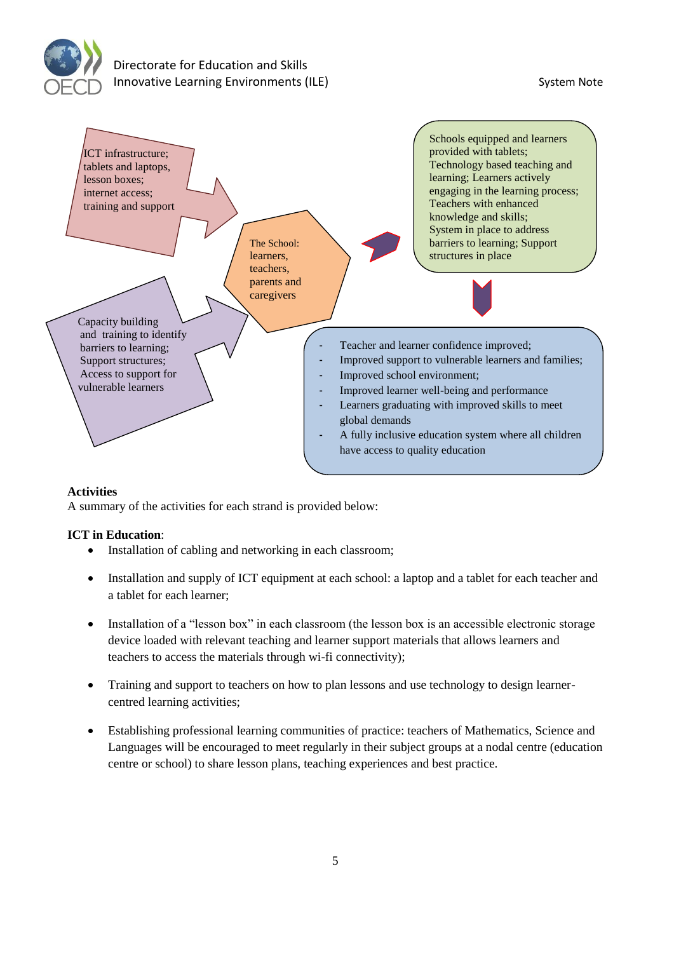



## **Activities**

A summary of the activities for each strand is provided below:

## **ICT in Education**:

- Installation of cabling and networking in each classroom;
- Installation and supply of ICT equipment at each school: a laptop and a tablet for each teacher and a tablet for each learner;
- Installation of a "lesson box" in each classroom (the lesson box is an accessible electronic storage device loaded with relevant teaching and learner support materials that allows learners and teachers to access the materials through wi-fi connectivity);
- Training and support to teachers on how to plan lessons and use technology to design learnercentred learning activities;
- Establishing professional learning communities of practice: teachers of Mathematics, Science and Languages will be encouraged to meet regularly in their subject groups at a nodal centre (education centre or school) to share lesson plans, teaching experiences and best practice.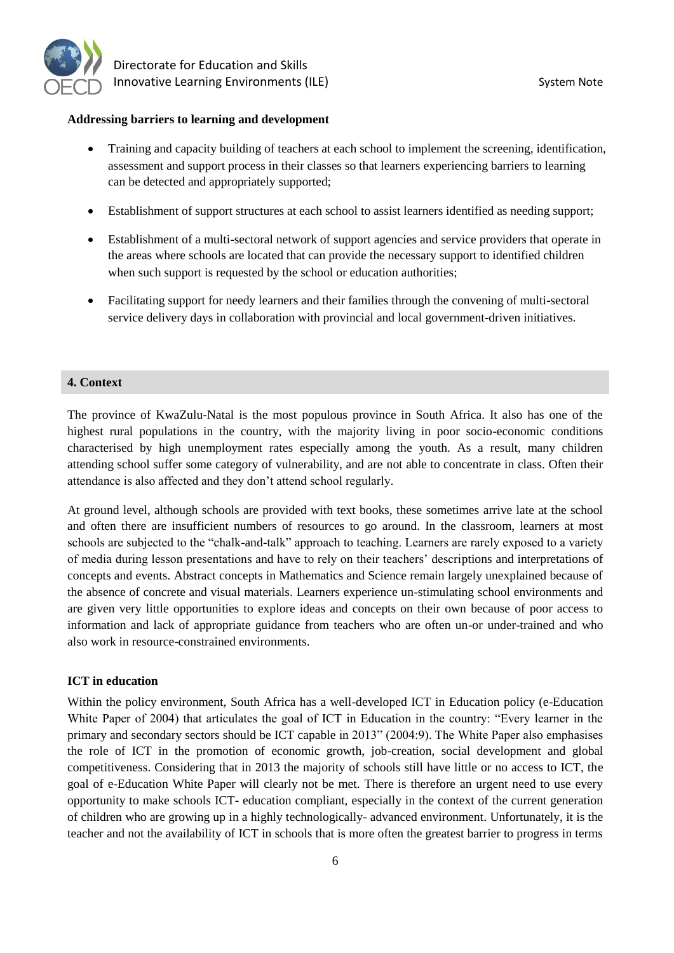

 Directorate for Education and Skills Innovative Learning Environments (ILE) System Note

#### **Addressing barriers to learning and development**

- Training and capacity building of teachers at each school to implement the screening, identification, assessment and support process in their classes so that learners experiencing barriers to learning can be detected and appropriately supported;
- Establishment of support structures at each school to assist learners identified as needing support;
- Establishment of a multi-sectoral network of support agencies and service providers that operate in the areas where schools are located that can provide the necessary support to identified children when such support is requested by the school or education authorities;
- Facilitating support for needy learners and their families through the convening of multi-sectoral service delivery days in collaboration with provincial and local government-driven initiatives.

#### **4. Context**

The province of KwaZulu-Natal is the most populous province in South Africa. It also has one of the highest rural populations in the country, with the majority living in poor socio-economic conditions characterised by high unemployment rates especially among the youth. As a result, many children attending school suffer some category of vulnerability, and are not able to concentrate in class. Often their attendance is also affected and they don't attend school regularly.

At ground level, although schools are provided with text books, these sometimes arrive late at the school and often there are insufficient numbers of resources to go around. In the classroom, learners at most schools are subjected to the "chalk-and-talk" approach to teaching. Learners are rarely exposed to a variety of media during lesson presentations and have to rely on their teachers' descriptions and interpretations of concepts and events. Abstract concepts in Mathematics and Science remain largely unexplained because of the absence of concrete and visual materials. Learners experience un-stimulating school environments and are given very little opportunities to explore ideas and concepts on their own because of poor access to information and lack of appropriate guidance from teachers who are often un-or under-trained and who also work in resource-constrained environments.

#### **ICT in education**

Within the policy environment, South Africa has a well-developed ICT in Education policy (e-Education White Paper of 2004) that articulates the goal of ICT in Education in the country: "Every learner in the primary and secondary sectors should be ICT capable in 2013" (2004:9). The White Paper also emphasises the role of ICT in the promotion of economic growth, job-creation, social development and global competitiveness. Considering that in 2013 the majority of schools still have little or no access to ICT, the goal of e-Education White Paper will clearly not be met. There is therefore an urgent need to use every opportunity to make schools ICT- education compliant, especially in the context of the current generation of children who are growing up in a highly technologically- advanced environment. Unfortunately, it is the teacher and not the availability of ICT in schools that is more often the greatest barrier to progress in terms